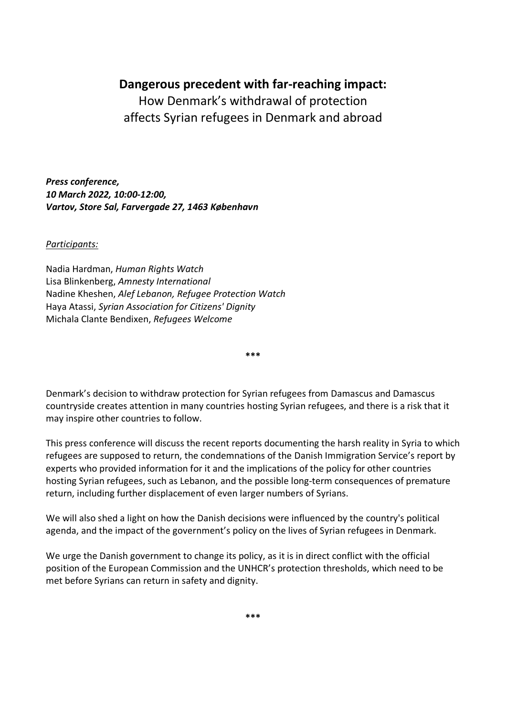## **Dangerous precedent with far-reaching impact:**

How Denmark's withdrawal of protection affects Syrian refugees in Denmark and abroad

*Press conference, 10 March 2022, 10:00-12:00, Vartov, Store Sal, Farvergade 27, 1463 København*

*Participants:*

Nadia Hardman, *Human Rights Watch* Lisa Blinkenberg, *Amnesty International* Nadine Kheshen, *Alef Lebanon, Refugee Protection Watch* Haya Atassi, *Syrian Association for Citizens' Dignity* Michala Clante Bendixen, *Refugees Welcome* 

Denmark's decision to withdraw protection for Syrian refugees from Damascus and Damascus countryside creates attention in many countries hosting Syrian refugees, and there is a risk that it may inspire other countries to follow.

**\*\*\***

This press conference will discuss the recent reports documenting the harsh reality in Syria to which refugees are supposed to return, the condemnations of the Danish Immigration Service's report by experts who provided information for it and the implications of the policy for other countries hosting Syrian refugees, such as Lebanon, and the possible long-term consequences of premature return, including further displacement of even larger numbers of Syrians.

We will also shed a light on how the Danish decisions were influenced by the country's political agenda, and the impact of the government's policy on the lives of Syrian refugees in Denmark.

We urge the Danish government to change its policy, as it is in direct conflict with the official position of the European Commission and the UNHCR's protection thresholds, which need to be met before Syrians can return in safety and dignity.

**\*\*\***